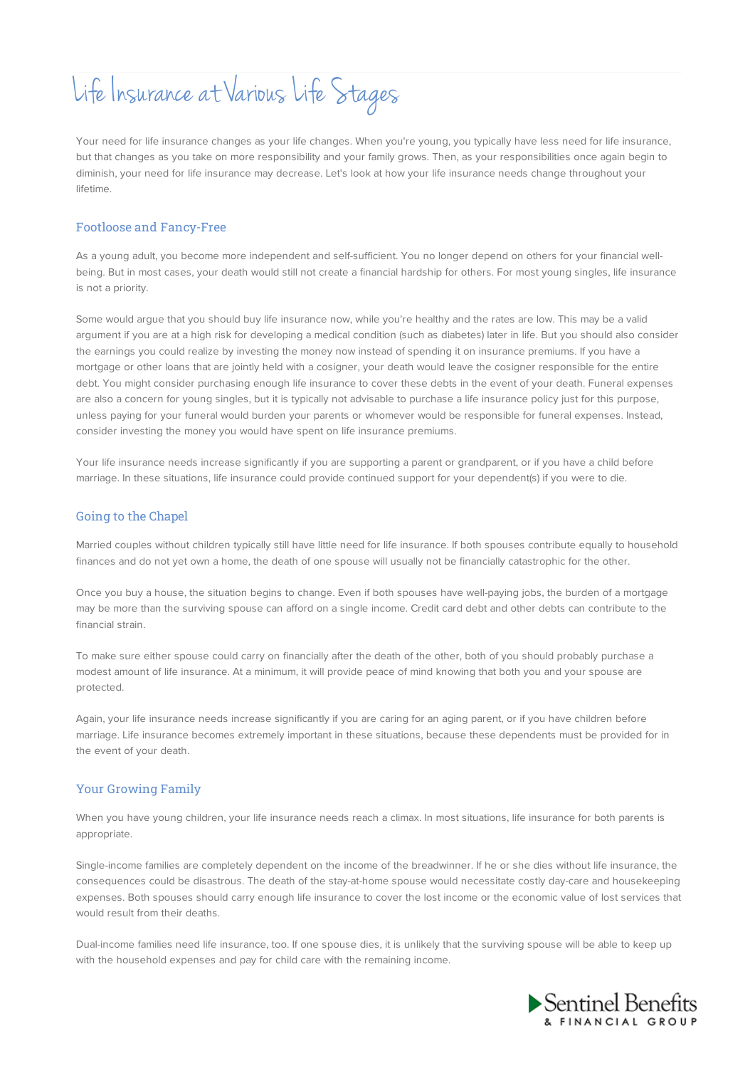# Life Insurance at Various Life Stages

Your need for life insurance changes as your life changes. When you're young, you typically have less need for life insurance, but that changes as you take on more responsibility and your family grows. Then, as your responsibilities once again begin to diminish, your need for life insurance may decrease. Let's look at how your life insurance needs change throughout your lifetime.

# Footloose and Fancy-Free

As a young adult, you become more independent and self-sufficient. You no longer depend on others for your financial wellbeing. But in most cases, your death would still not create a financial hardship for others. For most young singles, life insurance is not a priority.

Some would argue that you should buy life insurance now, while you're healthy and the rates are low. This may be a valid argument if you are at a high risk for developing a medical condition (such as diabetes) later in life. But you should also consider the earnings you could realize by investing the money now instead of spending it on insurance premiums. If you have a mortgage or other loans that are jointly held with a cosigner, your death would leave the cosigner responsible for the entire debt. You might consider purchasing enough life insurance to cover these debts in the event of your death. Funeral expenses are also a concern for young singles, but it is typically not advisable to purchase a life insurance policy just for this purpose, unless paying for your funeral would burden your parents or whomever would be responsible for funeral expenses. Instead, consider investing the money you would have spent on life insurance premiums.

Your life insurance needs increase significantly if you are supporting a parent or grandparent, or if you have a child before marriage. In these situations, life insurance could provide continued support for your dependent(s) if you were to die.

### Going to the Chapel

Married couples without children typically still have little need for life insurance. If both spouses contribute equally to household finances and do not yet own a home, the death of one spouse will usually not be financially catastrophic for the other.

Once you buy a house, the situation begins to change. Even if both spouses have well-paying jobs, the burden of a mortgage may be more than the surviving spouse can afford on a single income. Credit card debt and other debts can contribute to the financial strain.

To make sure either spouse could carry on financially after the death of the other, both of you should probably purchase a modest amount of life insurance. At a minimum, it will provide peace of mind knowing that both you and your spouse are protected.

Again, your life insurance needs increase significantly if you are caring for an aging parent, or if you have children before marriage. Life insurance becomes extremely important in these situations, because these dependents must be provided for in the event of your death.

# Your Growing Family

When you have young children, your life insurance needs reach a climax. In most situations, life insurance for both parents is appropriate.

Single-income families are completely dependent on the income of the breadwinner. If he or she dies without life insurance, the consequences could be disastrous. The death of the stay-at-home spouse would necessitate costly day-care and housekeeping expenses. Both spouses should carry enough life insurance to cover the lost income or the economic value of lost services that would result from their deaths.

Dual-income families need life insurance, too. If one spouse dies, it is unlikely that the surviving spouse will be able to keep up with the household expenses and pay for child care with the remaining income.